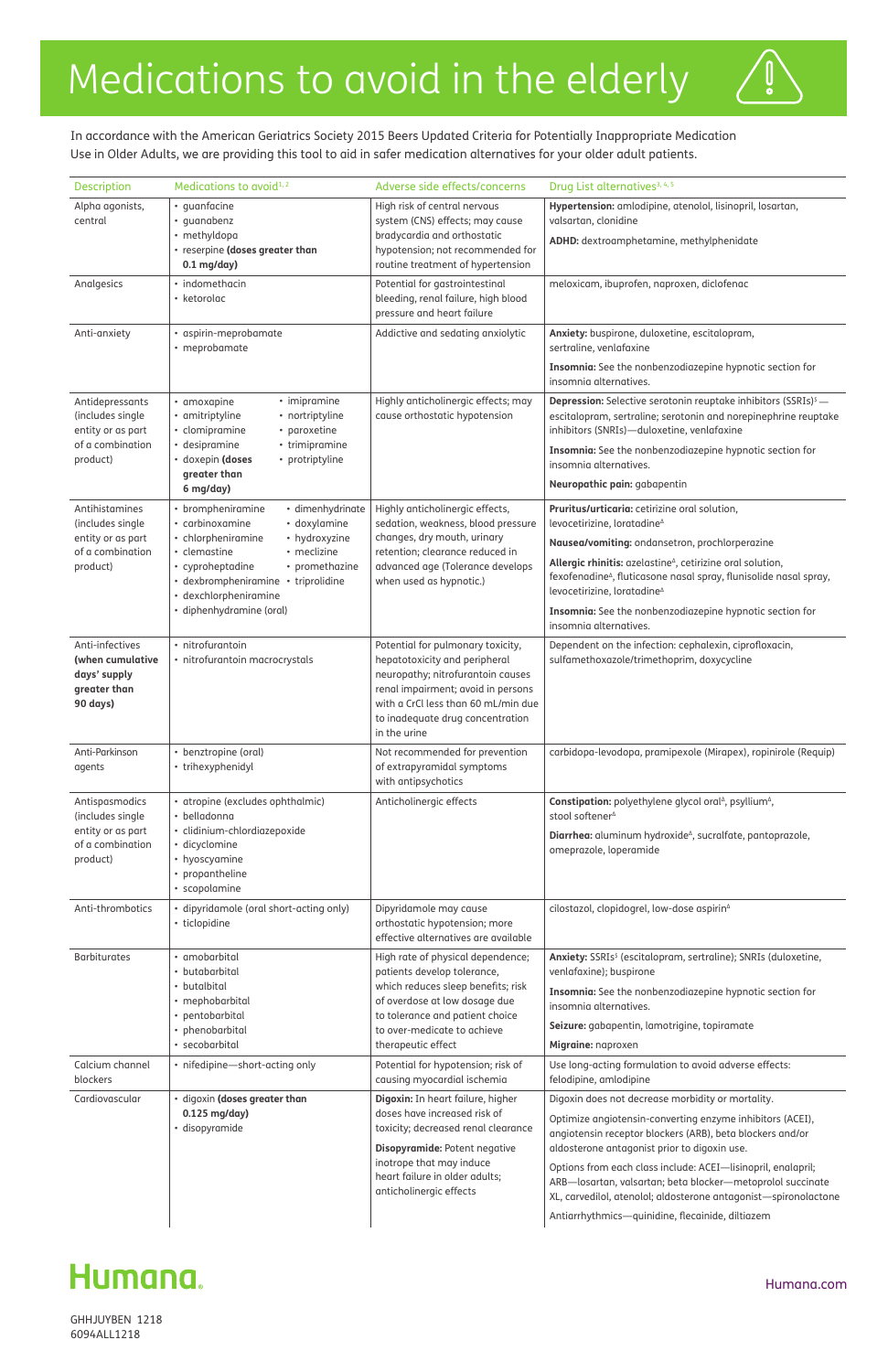| Description                                                                     | Medications to avoid <sup>1,2</sup>                                                                                                                                                                  | Adverse side effects/concerns                                                                                                                                                                                                            | Drug List alternatives <sup>3, 4, 5</sup>                                                                                                                                                                 |
|---------------------------------------------------------------------------------|------------------------------------------------------------------------------------------------------------------------------------------------------------------------------------------------------|------------------------------------------------------------------------------------------------------------------------------------------------------------------------------------------------------------------------------------------|-----------------------------------------------------------------------------------------------------------------------------------------------------------------------------------------------------------|
| Alpha agonists,<br>central                                                      | • quanfacine<br>· quanabenz<br>· methyldopa<br>• reserpine (doses greater than<br>$0.1$ mg/day)                                                                                                      | High risk of central nervous<br>system (CNS) effects; may cause<br>bradycardia and orthostatic<br>hypotension; not recommended for<br>routine treatment of hypertension                                                                  | Hypertension: amlodipine, atenolol, lisinopril, losartan,<br>valsartan, clonidine                                                                                                                         |
|                                                                                 |                                                                                                                                                                                                      |                                                                                                                                                                                                                                          | ADHD: dextroamphetamine, methylphenidate                                                                                                                                                                  |
| Analgesics                                                                      | • indomethacin<br>• ketorolac                                                                                                                                                                        | Potential for gastrointestinal<br>bleeding, renal failure, high blood<br>pressure and heart failure                                                                                                                                      | meloxicam, ibuprofen, naproxen, diclofenac                                                                                                                                                                |
| Anti-anxiety                                                                    | · aspirin-meprobamate<br>• meprobamate                                                                                                                                                               | Addictive and sedating anxiolytic                                                                                                                                                                                                        | Anxiety: buspirone, duloxetine, escitalopram,<br>sertraline, venlafaxine                                                                                                                                  |
|                                                                                 |                                                                                                                                                                                                      |                                                                                                                                                                                                                                          | Insomnia: See the nonbenzodiazepine hypnotic section for<br>insomnia alternatives.                                                                                                                        |
| Antidepressants<br>(includes single<br>entity or as part                        | • imipramine<br>• amoxapine<br>• amitriptyline<br>• nortriptyline<br>• clomipramine<br>• paroxetine                                                                                                  | Highly anticholinergic effects; may<br>cause orthostatic hypotension                                                                                                                                                                     | <b>Depression:</b> Selective serotonin reuptake inhibitors (SSRIs) <sup>\$</sup> -<br>escitalopram, sertraline; serotonin and norepinephrine reuptake<br>inhibitors (SNRIs)-duloxetine, venlafaxine       |
| of a combination<br>product)                                                    | • desipramine<br>• trimipramine<br>· doxepin (doses<br>• protriptyline<br>greater than                                                                                                               |                                                                                                                                                                                                                                          | Insomnia: See the nonbenzodiazepine hypnotic section for<br>insomnia alternatives.                                                                                                                        |
|                                                                                 | 6 mg/day)                                                                                                                                                                                            |                                                                                                                                                                                                                                          | Neuropathic pain: gabapentin                                                                                                                                                                              |
| Antihistamines<br>(includes single                                              | • brompheniramine<br>· dimenhydrinate<br>• carbinoxamine<br>• doxylamine                                                                                                                             | Highly anticholinergic effects,<br>sedation, weakness, blood pressure                                                                                                                                                                    | Pruritus/urticaria: cetirizine oral solution,<br>levocetirizine, loratadine <sup>^</sup>                                                                                                                  |
| entity or as part<br>of a combination                                           | • hydroxyzine<br>• chlorpheniramine<br>• clemastine<br>• meclizine<br>• cyproheptadine<br>• promethazine<br>· dexbrompheniramine · triprolidine<br>· dexchlorpheniramine<br>· diphenhydramine (oral) | changes, dry mouth, urinary<br>retention; clearance reduced in<br>advanced age (Tolerance develops<br>when used as hypnotic.)                                                                                                            | Nausea/vomiting: ondansetron, prochlorperazine                                                                                                                                                            |
| product)                                                                        |                                                                                                                                                                                                      |                                                                                                                                                                                                                                          | Allergic rhinitis: azelastine <sup><i>A</i></sup> , cetirizine oral solution,<br>fexofenadine <sup>^</sup> , fluticasone nasal spray, flunisolide nasal spray,<br>levocetirizine, loratadine <sup>^</sup> |
|                                                                                 |                                                                                                                                                                                                      |                                                                                                                                                                                                                                          | Insomnia: See the nonbenzodiazepine hypnotic section for<br>insomnia alternatives.                                                                                                                        |
| Anti-infectives<br>(when cumulative<br>days' supply<br>greater than<br>90 days) | • nitrofurantoin<br>· nitrofurantoin macrocrystals                                                                                                                                                   | Potential for pulmonary toxicity,<br>hepatotoxicity and peripheral<br>neuropathy; nitrofurantoin causes<br>renal impairment; avoid in persons<br>with a CrCl less than 60 mL/min due<br>to inadequate drug concentration<br>in the urine | Dependent on the infection: cephalexin, ciprofloxacin,<br>sulfamethoxazole/trimethoprim, doxycycline                                                                                                      |
| Anti-Parkinson<br>agents                                                        | • benztropine (oral)<br>• trihexyphenidyl                                                                                                                                                            | Not recommended for prevention<br>of extrapyramidal symptoms<br>with antipsychotics                                                                                                                                                      | carbidopa-levodopa, pramipexole (Mirapex), ropinirole (Requip)                                                                                                                                            |
| Antispasmodics                                                                  | · atropine (excludes ophthalmic)<br>• belladonna                                                                                                                                                     | Anticholinergic effects                                                                                                                                                                                                                  | Constipation: polyethylene glycol oral <sup>1</sup> , psyllium <sup>1</sup> ,<br>stool softener <sup>4</sup>                                                                                              |
| (includes single<br>entity or as part<br>of a combination<br>product)           | · clidinium-chlordiazepoxide<br>· dicyclomine<br>• hyoscyamine<br>• propantheline<br>• scopolamine                                                                                                   |                                                                                                                                                                                                                                          | Diarrhea: aluminum hydroxide <sup>^</sup> , sucralfate, pantoprazole,<br>omeprazole, loperamide                                                                                                           |
| Anti-thrombotics                                                                | · dipyridamole (oral short-acting only)<br>• ticlopidine                                                                                                                                             | Dipyridamole may cause<br>orthostatic hypotension; more<br>effective alternatives are available                                                                                                                                          | cilostazol, clopidogrel, low-dose aspirin <sup>^</sup>                                                                                                                                                    |
| <b>Barbiturates</b>                                                             | • amobarbital<br>• butabarbital                                                                                                                                                                      | High rate of physical dependence;<br>patients develop tolerance,                                                                                                                                                                         | Anxiety: SSRIs <sup>\$</sup> (escitalopram, sertraline); SNRIs (duloxetine,<br>venlafaxine); buspirone                                                                                                    |
|                                                                                 | • butalbital<br>• mephobarbital                                                                                                                                                                      | which reduces sleep benefits; risk<br>of overdose at low dosage due                                                                                                                                                                      | Insomnia: See the nonbenzodiazepine hypnotic section for<br>insomnia alternatives.                                                                                                                        |
|                                                                                 | • pentobarbital<br>phenobarbital                                                                                                                                                                     | to tolerance and patient choice<br>to over-medicate to achieve                                                                                                                                                                           | Seizure: gabapentin, lamotrigine, topiramate                                                                                                                                                              |
|                                                                                 | • secobarbital                                                                                                                                                                                       | therapeutic effect                                                                                                                                                                                                                       | Migraine: naproxen                                                                                                                                                                                        |
| Calcium channel<br>blockers                                                     | · nifedipine-short-acting only                                                                                                                                                                       | Potential for hypotension; risk of<br>causing myocardial ischemia                                                                                                                                                                        | Use long-acting formulation to avoid adverse effects:<br>felodipine, amlodipine                                                                                                                           |
| Cardiovascular                                                                  | · digoxin (doses greater than<br>$0.125$ mg/day)<br>· disopyramide                                                                                                                                   | Digoxin: In heart failure, higher<br>doses have increased risk of<br>toxicity; decreased renal clearance<br>Disopyramide: Potent negative<br>inotrope that may induce<br>heart failure in older adults;<br>anticholinergic effects       | Digoxin does not decrease morbidity or mortality.                                                                                                                                                         |
|                                                                                 |                                                                                                                                                                                                      |                                                                                                                                                                                                                                          | Optimize angiotensin-converting enzyme inhibitors (ACEI),<br>angiotensin receptor blockers (ARB), beta blockers and/or<br>aldosterone antagonist prior to digoxin use.                                    |
|                                                                                 |                                                                                                                                                                                                      |                                                                                                                                                                                                                                          | Options from each class include: ACEI-lisinopril, enalapril;<br>ARB-losartan, valsartan; beta blocker-metoprolol succinate<br>XL, carvedilol, atenolol; aldosterone antagonist-spironolactone             |
|                                                                                 |                                                                                                                                                                                                      |                                                                                                                                                                                                                                          | Antiarrhythmics-quinidine, flecainide, diltiazem                                                                                                                                                          |

# Humana.

# Medications to avoid in the elderly

GHHJUYBEN 1218 6094ALL1218

## Humana.com

 $\ddot{\bullet}$ 

In accordance with the American Geriatrics Society 2015 Beers Updated Criteria for Potentially Inappropriate Medication Use in Older Adults, we are providing this tool to aid in safer medication alternatives for your older adult patients.